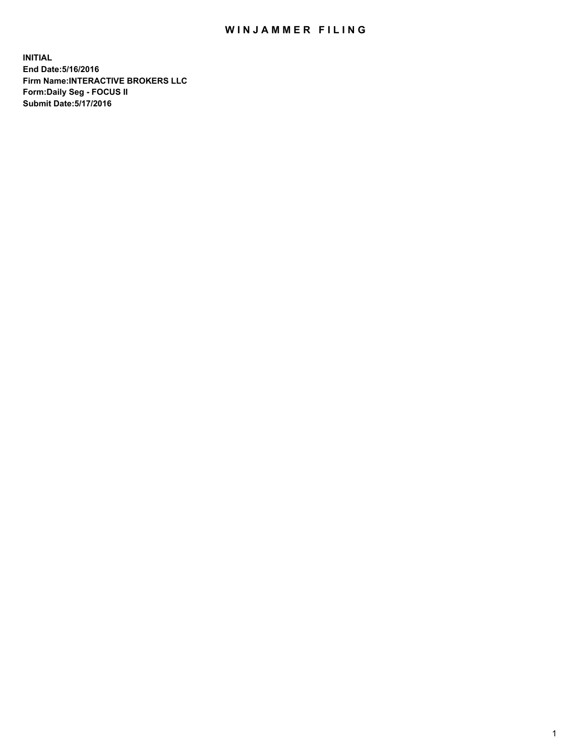## WIN JAMMER FILING

**INITIAL End Date:5/16/2016 Firm Name:INTERACTIVE BROKERS LLC Form:Daily Seg - FOCUS II Submit Date:5/17/2016**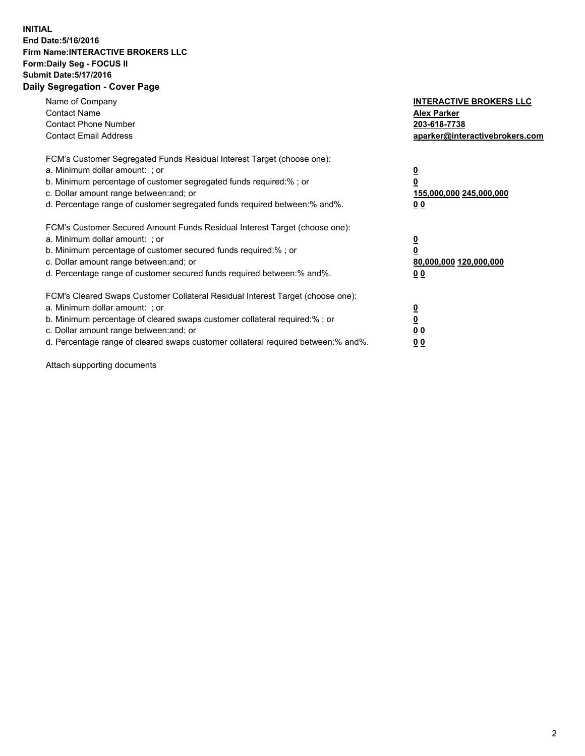## **INITIAL End Date:5/16/2016 Firm Name:INTERACTIVE BROKERS LLC Form:Daily Seg - FOCUS II Submit Date:5/17/2016 Daily Segregation - Cover Page**

| Name of Company<br><b>Contact Name</b><br><b>Contact Phone Number</b><br><b>Contact Email Address</b>                                                                                                                                                                                                                          | <b>INTERACTIVE BROKERS LLC</b><br><b>Alex Parker</b><br>203-618-7738<br>aparker@interactivebrokers.com |
|--------------------------------------------------------------------------------------------------------------------------------------------------------------------------------------------------------------------------------------------------------------------------------------------------------------------------------|--------------------------------------------------------------------------------------------------------|
| FCM's Customer Segregated Funds Residual Interest Target (choose one):<br>a. Minimum dollar amount: ; or<br>b. Minimum percentage of customer segregated funds required:%; or<br>c. Dollar amount range between: and; or<br>d. Percentage range of customer segregated funds required between:% and%.                          | <u>0</u><br>155,000,000 245,000,000<br><u>0 0</u>                                                      |
| FCM's Customer Secured Amount Funds Residual Interest Target (choose one):<br>a. Minimum dollar amount: ; or<br>b. Minimum percentage of customer secured funds required:% ; or<br>c. Dollar amount range between: and; or<br>d. Percentage range of customer secured funds required between:% and%.                           | <u>0</u><br>80,000,000 120,000,000<br><u>0 0</u>                                                       |
| FCM's Cleared Swaps Customer Collateral Residual Interest Target (choose one):<br>a. Minimum dollar amount: ; or<br>b. Minimum percentage of cleared swaps customer collateral required:% ; or<br>c. Dollar amount range between: and; or<br>d. Percentage range of cleared swaps customer collateral required between:% and%. | <u>0</u><br>0 <sub>0</sub><br>0 <sub>0</sub>                                                           |

Attach supporting documents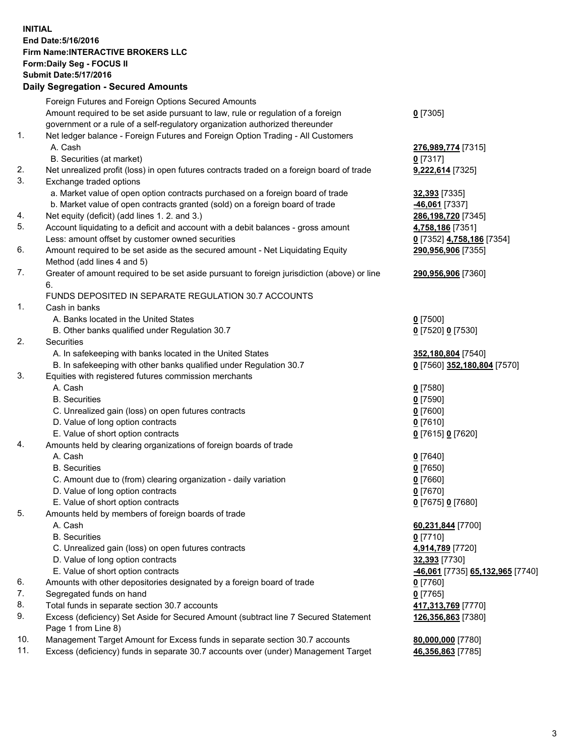## **INITIAL End Date:5/16/2016 Firm Name:INTERACTIVE BROKERS LLC Form:Daily Seg - FOCUS II Submit Date:5/17/2016 Daily Segregation - Secured Amounts**

|     | $-$ 0.000 $-$ 0.000 $-$ 0.000 $-$ 0.000 $-$ 0.000 $-$ 0.000 $-$ 0.000 $-$ 0.000 $-$ 0.000 $-$ 0.000 $-$ 0.000 $-$ 0.000 $-$ 0.000 $-$ 0.000 $-$ 0.000 $-$ 0.000 $-$ 0.000 $-$ 0.000 $-$ 0.000 $-$ 0.000 $-$ 0.000 $-$ 0.000 |                                  |
|-----|-----------------------------------------------------------------------------------------------------------------------------------------------------------------------------------------------------------------------------|----------------------------------|
|     | Foreign Futures and Foreign Options Secured Amounts                                                                                                                                                                         |                                  |
|     | Amount required to be set aside pursuant to law, rule or regulation of a foreign                                                                                                                                            | $0$ [7305]                       |
|     | government or a rule of a self-regulatory organization authorized thereunder                                                                                                                                                |                                  |
| 1.  | Net ledger balance - Foreign Futures and Foreign Option Trading - All Customers                                                                                                                                             |                                  |
|     | A. Cash                                                                                                                                                                                                                     | 276,989,774 [7315]               |
|     | B. Securities (at market)                                                                                                                                                                                                   | $0$ [7317]                       |
| 2.  | Net unrealized profit (loss) in open futures contracts traded on a foreign board of trade                                                                                                                                   | 9,222,614 [7325]                 |
| 3.  | Exchange traded options                                                                                                                                                                                                     |                                  |
|     | a. Market value of open option contracts purchased on a foreign board of trade                                                                                                                                              | 32,393 [7335]                    |
|     | b. Market value of open contracts granted (sold) on a foreign board of trade                                                                                                                                                | -46,061 [7337]                   |
| 4.  | Net equity (deficit) (add lines 1.2. and 3.)                                                                                                                                                                                | 286,198,720 [7345]               |
| 5.  | Account liquidating to a deficit and account with a debit balances - gross amount                                                                                                                                           | 4,758,186 [7351]                 |
|     | Less: amount offset by customer owned securities                                                                                                                                                                            | 0 [7352] 4,758,186 [7354]        |
| 6.  | Amount required to be set aside as the secured amount - Net Liquidating Equity                                                                                                                                              | 290,956,906 [7355]               |
|     | Method (add lines 4 and 5)                                                                                                                                                                                                  |                                  |
| 7.  | Greater of amount required to be set aside pursuant to foreign jurisdiction (above) or line                                                                                                                                 | 290,956,906 [7360]               |
|     | 6.                                                                                                                                                                                                                          |                                  |
|     | FUNDS DEPOSITED IN SEPARATE REGULATION 30.7 ACCOUNTS                                                                                                                                                                        |                                  |
| 1.  | Cash in banks                                                                                                                                                                                                               |                                  |
|     | A. Banks located in the United States                                                                                                                                                                                       | $0$ [7500]                       |
|     | B. Other banks qualified under Regulation 30.7                                                                                                                                                                              | 0 [7520] 0 [7530]                |
| 2.  | Securities                                                                                                                                                                                                                  |                                  |
|     | A. In safekeeping with banks located in the United States                                                                                                                                                                   | 352,180,804 [7540]               |
|     | B. In safekeeping with other banks qualified under Regulation 30.7                                                                                                                                                          | 0 [7560] 352,180,804 [7570]      |
| 3.  | Equities with registered futures commission merchants                                                                                                                                                                       |                                  |
|     | A. Cash                                                                                                                                                                                                                     | $0$ [7580]                       |
|     | <b>B.</b> Securities                                                                                                                                                                                                        | $0$ [7590]                       |
|     | C. Unrealized gain (loss) on open futures contracts                                                                                                                                                                         | $0$ [7600]                       |
|     | D. Value of long option contracts                                                                                                                                                                                           | $0$ [7610]                       |
|     | E. Value of short option contracts                                                                                                                                                                                          | 0 [7615] 0 [7620]                |
| 4.  | Amounts held by clearing organizations of foreign boards of trade                                                                                                                                                           |                                  |
|     | A. Cash                                                                                                                                                                                                                     | $0$ [7640]                       |
|     | <b>B.</b> Securities                                                                                                                                                                                                        | $0$ [7650]                       |
|     | C. Amount due to (from) clearing organization - daily variation                                                                                                                                                             | $0$ [7660]                       |
|     | D. Value of long option contracts                                                                                                                                                                                           | $0$ [7670]                       |
|     | E. Value of short option contracts                                                                                                                                                                                          | 0 [7675] 0 [7680]                |
| 5.  | Amounts held by members of foreign boards of trade                                                                                                                                                                          |                                  |
|     | A. Cash                                                                                                                                                                                                                     | 60,231,844 [7700]                |
|     | <b>B.</b> Securities                                                                                                                                                                                                        | $0$ [7710]                       |
|     | C. Unrealized gain (loss) on open futures contracts                                                                                                                                                                         | 4,914,789 [7720]                 |
|     | D. Value of long option contracts                                                                                                                                                                                           | 32,393 [7730]                    |
|     | E. Value of short option contracts                                                                                                                                                                                          | -46,061 [7735] 65,132,965 [7740] |
| 6.  | Amounts with other depositories designated by a foreign board of trade                                                                                                                                                      | $0$ [7760]                       |
| 7.  | Segregated funds on hand                                                                                                                                                                                                    | $0$ [7765]                       |
| 8.  | Total funds in separate section 30.7 accounts                                                                                                                                                                               | 417,313,769 [7770]               |
| 9.  | Excess (deficiency) Set Aside for Secured Amount (subtract line 7 Secured Statement                                                                                                                                         | 126,356,863 [7380]               |
|     | Page 1 from Line 8)                                                                                                                                                                                                         |                                  |
| 10. | Management Target Amount for Excess funds in separate section 30.7 accounts                                                                                                                                                 | 80,000,000 [7780]                |
| 11. | Excess (deficiency) funds in separate 30.7 accounts over (under) Management Target                                                                                                                                          | 46,356,863 [7785]                |
|     |                                                                                                                                                                                                                             |                                  |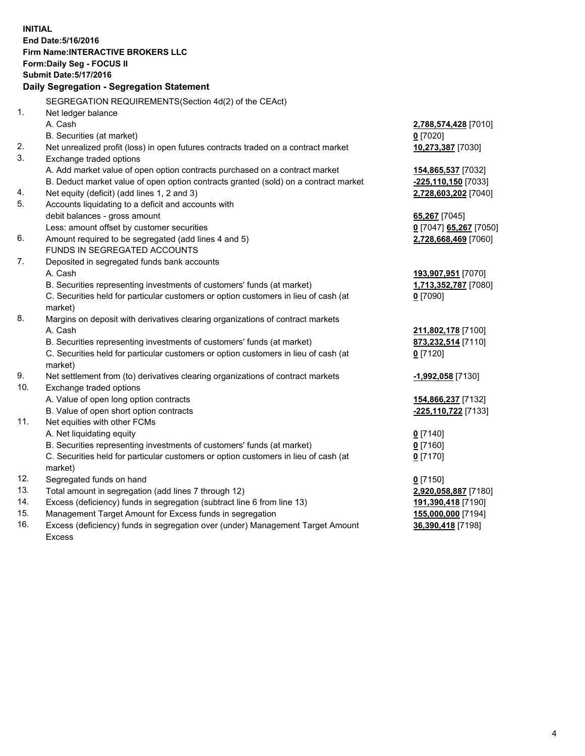**INITIAL End Date:5/16/2016 Firm Name:INTERACTIVE BROKERS LLC Form:Daily Seg - FOCUS II Submit Date:5/17/2016 Daily Segregation - Segregation Statement** SEGREGATION REQUIREMENTS(Section 4d(2) of the CEAct) 1. Net ledger balance A. Cash **2,788,574,428** [7010] B. Securities (at market) **0** [7020] 2. Net unrealized profit (loss) in open futures contracts traded on a contract market **10,273,387** [7030] 3. Exchange traded options A. Add market value of open option contracts purchased on a contract market **154,865,537** [7032] B. Deduct market value of open option contracts granted (sold) on a contract market **-225,110,150** [7033] 4. Net equity (deficit) (add lines 1, 2 and 3) **2,728,603,202** [7040] 5. Accounts liquidating to a deficit and accounts with debit balances - gross amount **65,267** [7045] Less: amount offset by customer securities **0** [7047] **65,267** [7050] 6. Amount required to be segregated (add lines 4 and 5) **2,728,668,469** [7060] FUNDS IN SEGREGATED ACCOUNTS 7. Deposited in segregated funds bank accounts A. Cash **193,907,951** [7070] B. Securities representing investments of customers' funds (at market) **1,713,352,787** [7080] C. Securities held for particular customers or option customers in lieu of cash (at market) **0** [7090] 8. Margins on deposit with derivatives clearing organizations of contract markets A. Cash **211,802,178** [7100] B. Securities representing investments of customers' funds (at market) **873,232,514** [7110] C. Securities held for particular customers or option customers in lieu of cash (at market) **0** [7120] 9. Net settlement from (to) derivatives clearing organizations of contract markets **-1,992,058** [7130] 10. Exchange traded options A. Value of open long option contracts **154,866,237** [7132] B. Value of open short option contracts **-225,110,722** [7133] 11. Net equities with other FCMs A. Net liquidating equity **0** [7140] B. Securities representing investments of customers' funds (at market) **0** [7160] C. Securities held for particular customers or option customers in lieu of cash (at market) **0** [7170] 12. Segregated funds on hand **0** [7150] 13. Total amount in segregation (add lines 7 through 12) **2,920,058,887** [7180] 14. Excess (deficiency) funds in segregation (subtract line 6 from line 13) **191,390,418** [7190] 15. Management Target Amount for Excess funds in segregation **155,000,000** [7194] 16. Excess (deficiency) funds in segregation over (under) Management Target Amount **36,390,418** [7198]

Excess